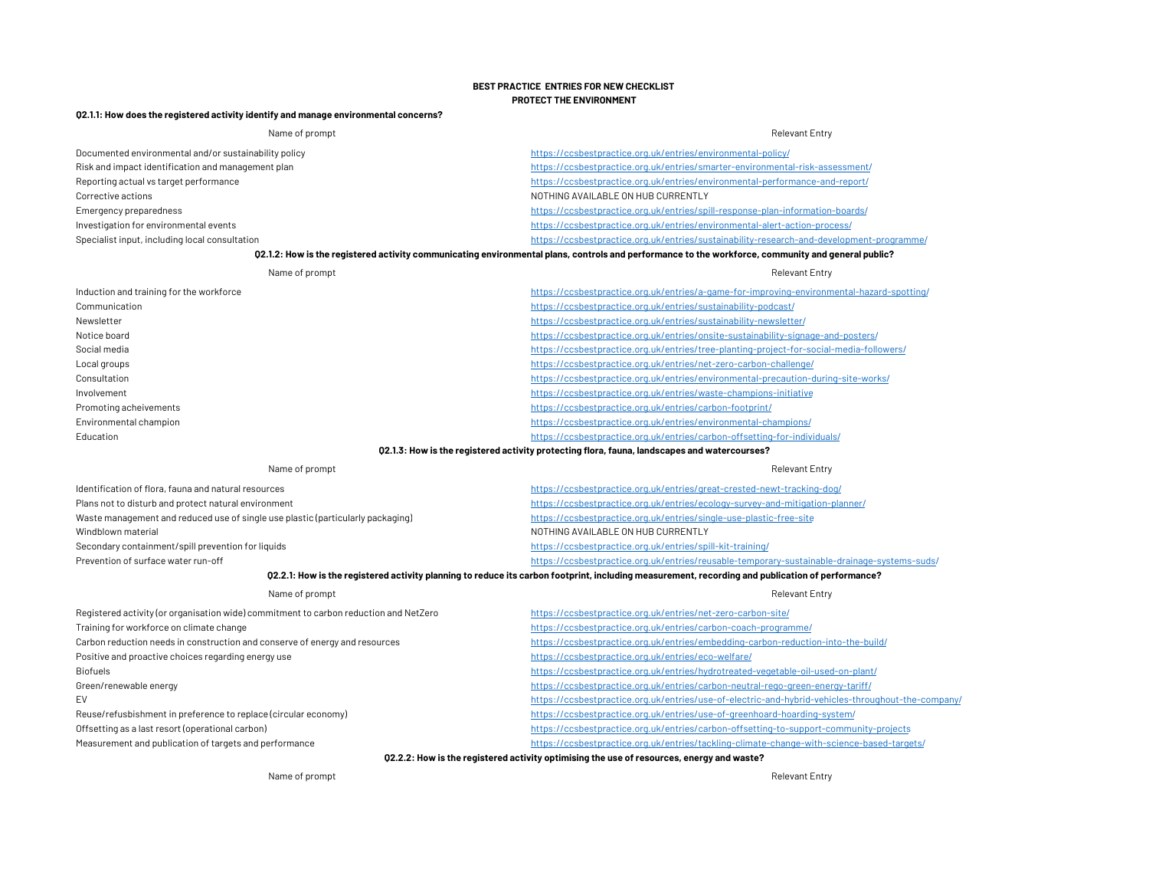## BEST PRACTICE ENTRIES FOR NEW CHECKLIST PROTECT THE ENVIRONMENT

## Q2.1.1: How does the registered activity identify and manage environmental concerns?

| Name of prompt                                                                        | <b>Relevant Entry</b>                                                                                                                              |
|---------------------------------------------------------------------------------------|----------------------------------------------------------------------------------------------------------------------------------------------------|
| Documented environmental and/or sustainability policy                                 | https://ccsbestpractice.org.uk/entries/environmental-policy/                                                                                       |
| Risk and impact identification and management plan                                    | https://ccsbestpractice.org.uk/entries/smarter-environmental-risk-assessment/                                                                      |
| Reporting actual vs target performance                                                | https://ccsbestpractice.org.uk/entries/environmental-performance-and-report/                                                                       |
| Corrective actions                                                                    | NOTHING AVAILABLE ON HUB CURRENTLY                                                                                                                 |
| Emergency preparedness                                                                | https://ccsbestpractice.org.uk/entries/spill-response-plan-information-boards/                                                                     |
| Investigation for environmental events                                                | https://ccsbestpractice.org.uk/entries/environmental-alert-action-process/                                                                         |
| Specialist input, including local consultation                                        | https://ccsbestpractice.org.uk/entries/sustainability-research-and-development-programme/                                                          |
|                                                                                       | 02.1.2: How is the registered activity communicating environmental plans, controls and performance to the workforce, community and general public? |
| Name of prompt                                                                        | <b>Relevant Entry</b>                                                                                                                              |
| Induction and training for the workforce                                              | https://ccsbestpractice.org.uk/entries/a-game-for-improving-environmental-hazard-spotting/                                                         |
| Communication                                                                         | https://ccsbestpractice.org.uk/entries/sustainability-podcast/                                                                                     |
| Newsletter                                                                            | https://ccsbestpractice.org.uk/entries/sustainability-newsletter/                                                                                  |
| Notice board                                                                          | https://ccsbestpractice.org.uk/entries/onsite-sustainability-signage-and-posters/                                                                  |
| Social media                                                                          | https://ccsbestpractice.org.uk/entries/tree-planting-project-for-social-media-followers/                                                           |
| Local groups                                                                          | https://ccsbestpractice.org.uk/entries/net-zero-carbon-challenge/                                                                                  |
| Consultation                                                                          | https://ccsbestpractice.org.uk/entries/environmental-precaution-during-site-works/                                                                 |
| Involvement                                                                           | https://ccsbestpractice.org.uk/entries/waste-champions-initiative                                                                                  |
| Promoting acheivements                                                                | https://ccsbestpractice.org.uk/entries/carbon-footprint/                                                                                           |
| Environmental champion                                                                | https://ccsbestpractice.org.uk/entries/environmental-champions/                                                                                    |
| Education                                                                             | https://ccsbestpractice.org.uk/entries/carbon-offsetting-for-individuals/                                                                          |
|                                                                                       | 02.1.3: How is the registered activity protecting flora, fauna, landscapes and watercourses?                                                       |
| Name of prompt                                                                        | <b>Relevant Entry</b>                                                                                                                              |
| Identification of flora, fauna and natural resources                                  | https://ccsbestpractice.org.uk/entries/great-crested-newt-tracking-dog/                                                                            |
| Plans not to disturb and protect natural environment                                  | https://ccsbestpractice.org.uk/entries/ecology-survey-and-mitigation-planner/                                                                      |
| Waste management and reduced use of single use plastic (particularly packaging)       | https://ccsbestpractice.org.uk/entries/single-use-plastic-free-site                                                                                |
| Windblown material                                                                    | NOTHING AVAILABLE ON HUB CURRENTLY                                                                                                                 |
| Secondary containment/spill prevention for liquids                                    | https://ccsbestpractice.org.uk/entries/spill-kit-training/                                                                                         |
| Prevention of surface water run-off                                                   | https://ccsbestpractice.org.uk/entries/reusable-temporary-sustainable-drainage-systems-suds/                                                       |
|                                                                                       | 02.2.1: How is the registered activity planning to reduce its carbon footprint, including measurement, recording and publication of performance?   |
| Name of prompt                                                                        | <b>Relevant Entry</b>                                                                                                                              |
| Registered activity (or organisation wide) commitment to carbon reduction and NetZero | https://ccsbestpractice.org.uk/entries/net-zero-carbon-site/                                                                                       |
| Training for workforce on climate change                                              | https://ccsbestpractice.org.uk/entries/carbon-coach-programme/                                                                                     |
| Carbon reduction needs in construction and conserve of energy and resources           | https://ccsbestpractice.org.uk/entries/embedding-carbon-reduction-into-the-build/                                                                  |
| Positive and proactive choices regarding energy use                                   | https://ccsbestpractice.org.uk/entries/eco-welfare/                                                                                                |
| <b>Biofuels</b>                                                                       | https://ccsbestpractice.org.uk/entries/hydrotreated-vegetable-oil-used-on-plant/                                                                   |
| Green/renewable energy                                                                | https://ccsbestpractice.org.uk/entries/carbon-neutral-rego-green-energy-tariff/                                                                    |
| EV                                                                                    | https://ccsbestpractice.org.uk/entries/use-of-electric-and-hybrid-vehicles-throughout-the-company/                                                 |
| Reuse/refusbishment in preference to replace (circular economy)                       | https://ccsbestpractice.org.uk/entries/use-of-greenhoard-hoarding-system/                                                                          |
| Offsetting as a last resort (operational carbon)                                      | https://ccsbestpractice.org.uk/entries/carbon-offsetting-to-support-community-projects                                                             |
| Measurement and publication of targets and performance                                | https://ccsbestpractice.org.uk/entries/tackling-climate-change-with-science-based-targets/                                                         |
| $0.9.9.9$ $0.11$ a $1.1$ a $1.1$ a $1.2$                                              | Catooni kaan umaan aan aan aan aan ah ah ah ah ah ah ah ah                                                                                         |

## Q2.2.2: How is the registered activity optimising the use of resources, energy and waste?

Name of prompt Relevant Entry